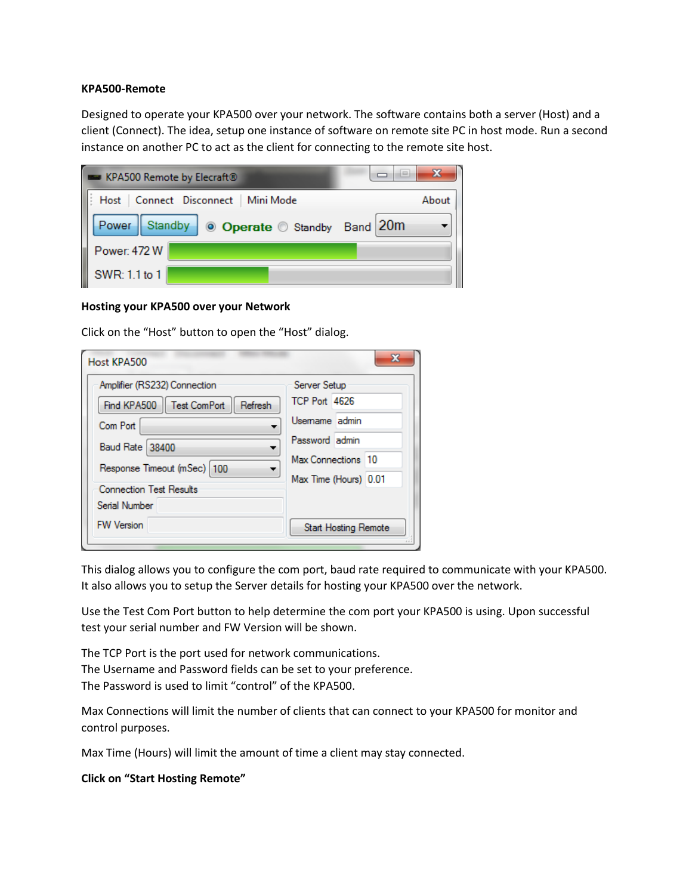## **KPA500-Remote**

Designed to operate your KPA500 over your network. The software contains both a server (Host) and a client (Connect). The idea, setup one instance of software on remote site PC in host mode. Run a second instance on another PC to act as the client for connecting to the remote site host.

| <b>EXPASOO Remote by Elecraft®</b>              | 23<br>حتويد |
|-------------------------------------------------|-------------|
| Host   Connect Disconnect   Mini Mode           | About       |
| Power   Standby<br>◎ Operate ◎ Standby Band 20m |             |
| Power: 472 W                                    |             |
| SWR: 1.1 to 1                                   |             |

## **Hosting your KPA500 over your Network**

Click on the "Host" button to open the "Host" dialog.

| Amplifier (RS232) Connection          | Server Setup                |  |
|---------------------------------------|-----------------------------|--|
| Find KPA500   Test ComPort<br>Refresh | <b>TCP Port 4626</b>        |  |
| Com Port                              | Usemame admin               |  |
| <b>Baud Rate 38400</b>                | Password admin              |  |
| Response Timeout (mSec)   100         | Max Connections 10          |  |
|                                       | Max Time (Hours) 0.01       |  |
| <b>Connection Test Results</b>        |                             |  |
| Serial Number                         |                             |  |
| <b>FW Version</b>                     | <b>Start Hosting Remote</b> |  |

This dialog allows you to configure the com port, baud rate required to communicate with your KPA500. It also allows you to setup the Server details for hosting your KPA500 over the network.

Use the Test Com Port button to help determine the com port your KPA500 is using. Upon successful test your serial number and FW Version will be shown.

The TCP Port is the port used for network communications. The Username and Password fields can be set to your preference. The Password is used to limit "control" of the KPA500.

Max Connections will limit the number of clients that can connect to your KPA500 for monitor and control purposes.

Max Time (Hours) will limit the amount of time a client may stay connected.

## **Click on "Start Hosting Remote"**